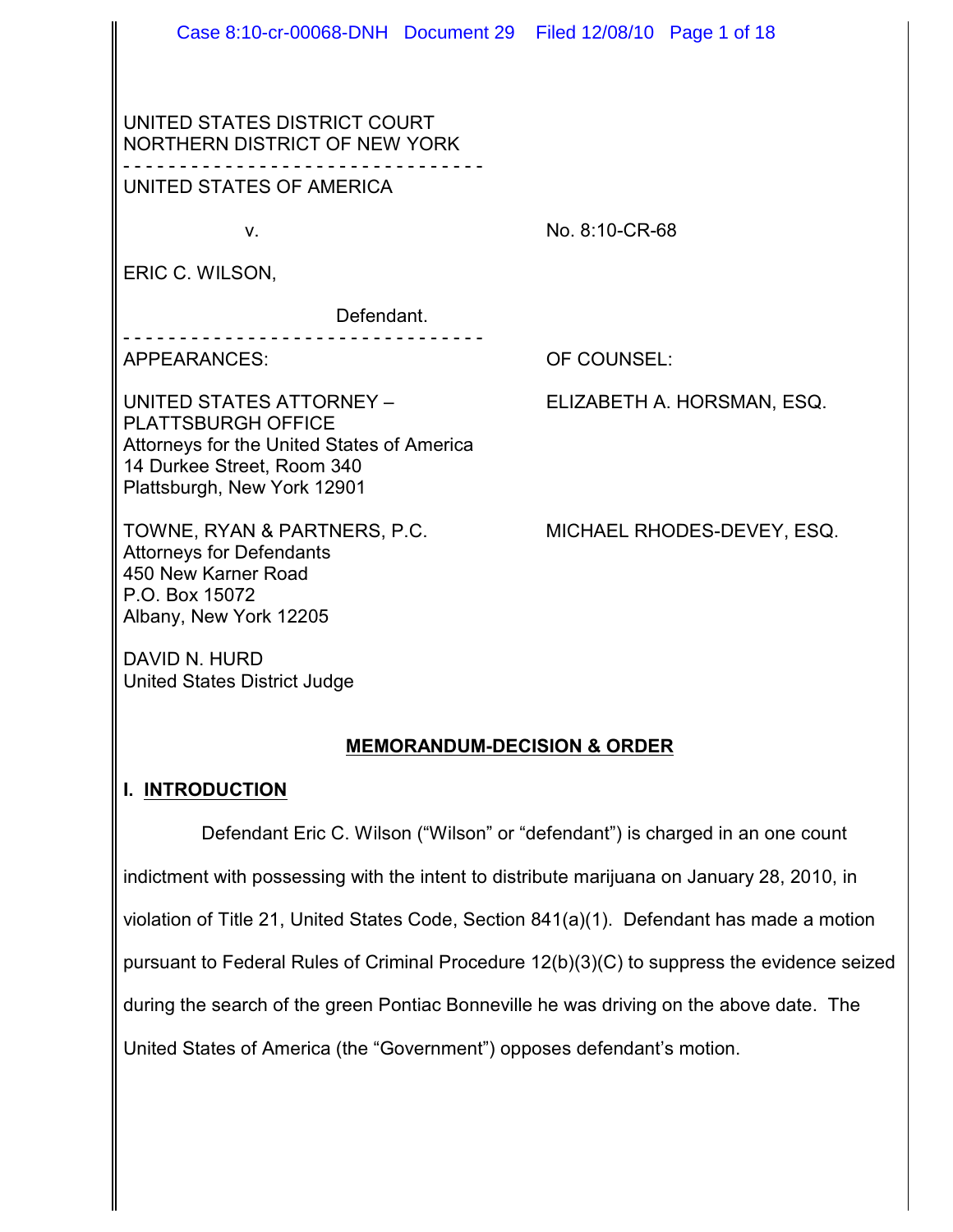| Case 8:10-cr-00068-DNH Document 29 Filed 12/08/10 Page 1 of 18                                                                                                   |                            |
|------------------------------------------------------------------------------------------------------------------------------------------------------------------|----------------------------|
| UNITED STATES DISTRICT COURT<br>NORTHERN DISTRICT OF NEW YORK                                                                                                    |                            |
| UNITED STATES OF AMERICA                                                                                                                                         |                            |
| V.                                                                                                                                                               | No. 8:10-CR-68             |
| ERIC C. WILSON,                                                                                                                                                  |                            |
| Defendant.                                                                                                                                                       |                            |
| <b>APPEARANCES:</b>                                                                                                                                              | OF COUNSEL:                |
| UNITED STATES ATTORNEY -<br><b>PLATTSBURGH OFFICE</b><br>Attorneys for the United States of America<br>14 Durkee Street, Room 340<br>Plattsburgh, New York 12901 | ELIZABETH A. HORSMAN, ESQ. |
| TOWNE, RYAN & PARTNERS, P.C.<br><b>Attorneys for Defendants</b><br>450 New Karner Road<br>P.O. Box 15072                                                         | MICHAEL RHODES-DEVEY, ESQ. |

DAVID N. HURD United States District Judge

Albany, New York 12205

#### **MEMORANDUM-DECISION & ORDER**

### **I. INTRODUCTION**

Defendant Eric C. Wilson ("Wilson" or "defendant") is charged in an one count indictment with possessing with the intent to distribute marijuana on January 28, 2010, in violation of Title 21, United States Code, Section 841(a)(1). Defendant has made a motion pursuant to Federal Rules of Criminal Procedure 12(b)(3)(C) to suppress the evidence seized during the search of the green Pontiac Bonneville he was driving on the above date. The United States of America (the "Government") opposes defendant's motion.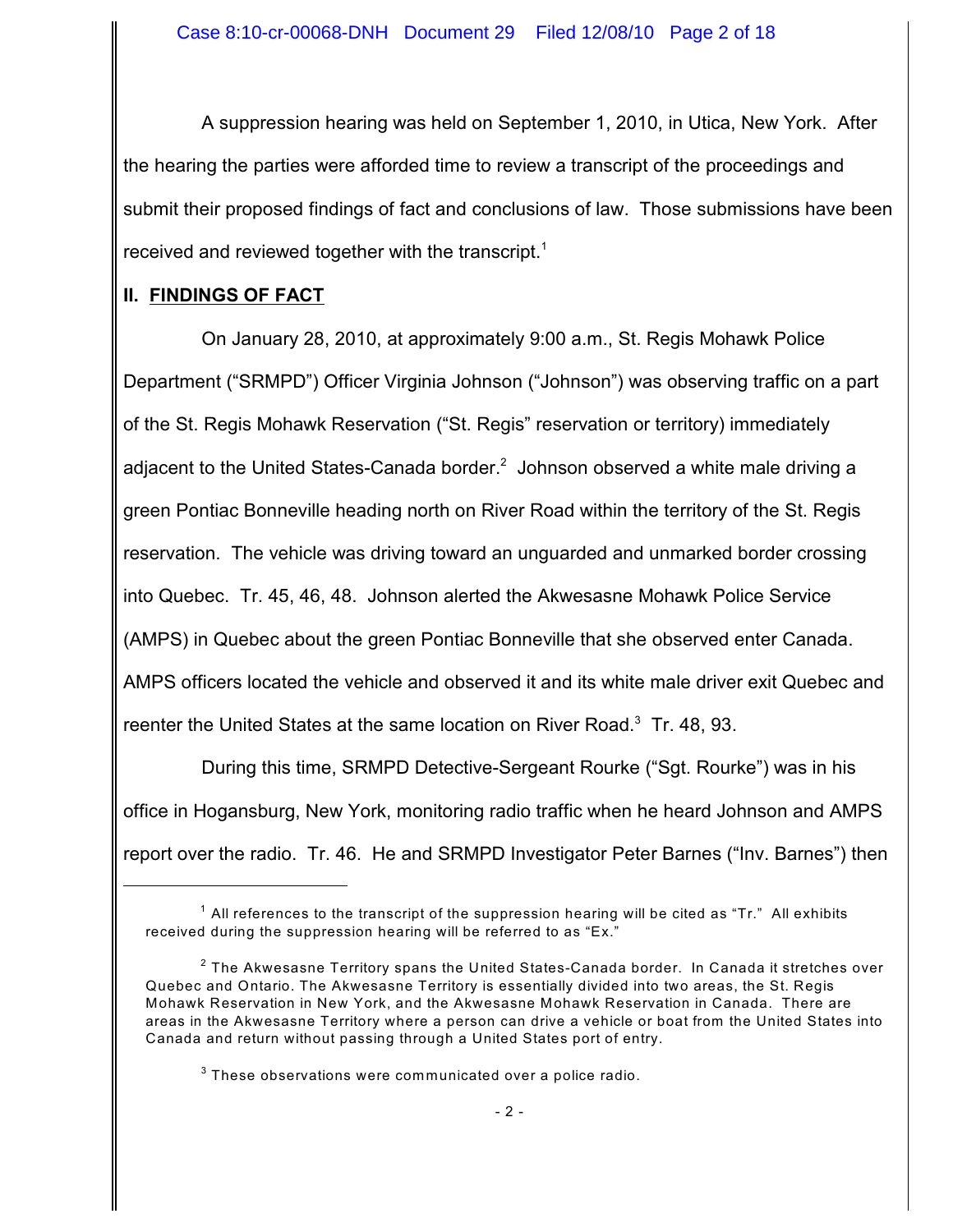A suppression hearing was held on September 1, 2010, in Utica, New York. After the hearing the parties were afforded time to review a transcript of the proceedings and submit their proposed findings of fact and conclusions of law. Those submissions have been received and reviewed together with the transcript.<sup>1</sup>

### **II. FINDINGS OF FACT**

On January 28, 2010, at approximately 9:00 a.m., St. Regis Mohawk Police Department ("SRMPD") Officer Virginia Johnson ("Johnson") was observing traffic on a part of the St. Regis Mohawk Reservation ("St. Regis" reservation or territory) immediately adjacent to the United States-Canada border. $<sup>2</sup>$  Johnson observed a white male driving a</sup> green Pontiac Bonneville heading north on River Road within the territory of the St. Regis reservation. The vehicle was driving toward an unguarded and unmarked border crossing into Quebec. Tr. 45, 46, 48. Johnson alerted the Akwesasne Mohawk Police Service (AMPS) in Quebec about the green Pontiac Bonneville that she observed enter Canada. AMPS officers located the vehicle and observed it and its white male driver exit Quebec and reenter the United States at the same location on River Road. $3$  Tr. 48, 93.

During this time, SRMPD Detective-Sergeant Rourke ("Sgt. Rourke") was in his office in Hogansburg, New York, monitoring radio traffic when he heard Johnson and AMPS report over the radio. Tr. 46. He and SRMPD Investigator Peter Barnes ("Inv. Barnes") then

 $^{\text{1}}$  All references to the transcript of the suppression hearing will be cited as "Tr." All exhibits received during the suppression hearing will be referred to as "Ex."

 $^{\rm 2}$  The Akwesasne Territory spans the United States-Canada border. In Canada it stretches over Quebec and Ontario. The Akwesasne Territory is essentially divided into two areas, the St. Regis Mohawk Reservation in New York, and the Akwesasne Mohawk Reservation in Canada. There are areas in the Akwesasne Territory where a person can drive a vehicle or boat from the United States into Canada and return without passing through a United States port of entry.

 $^3$  These observations were communicated over a police radio.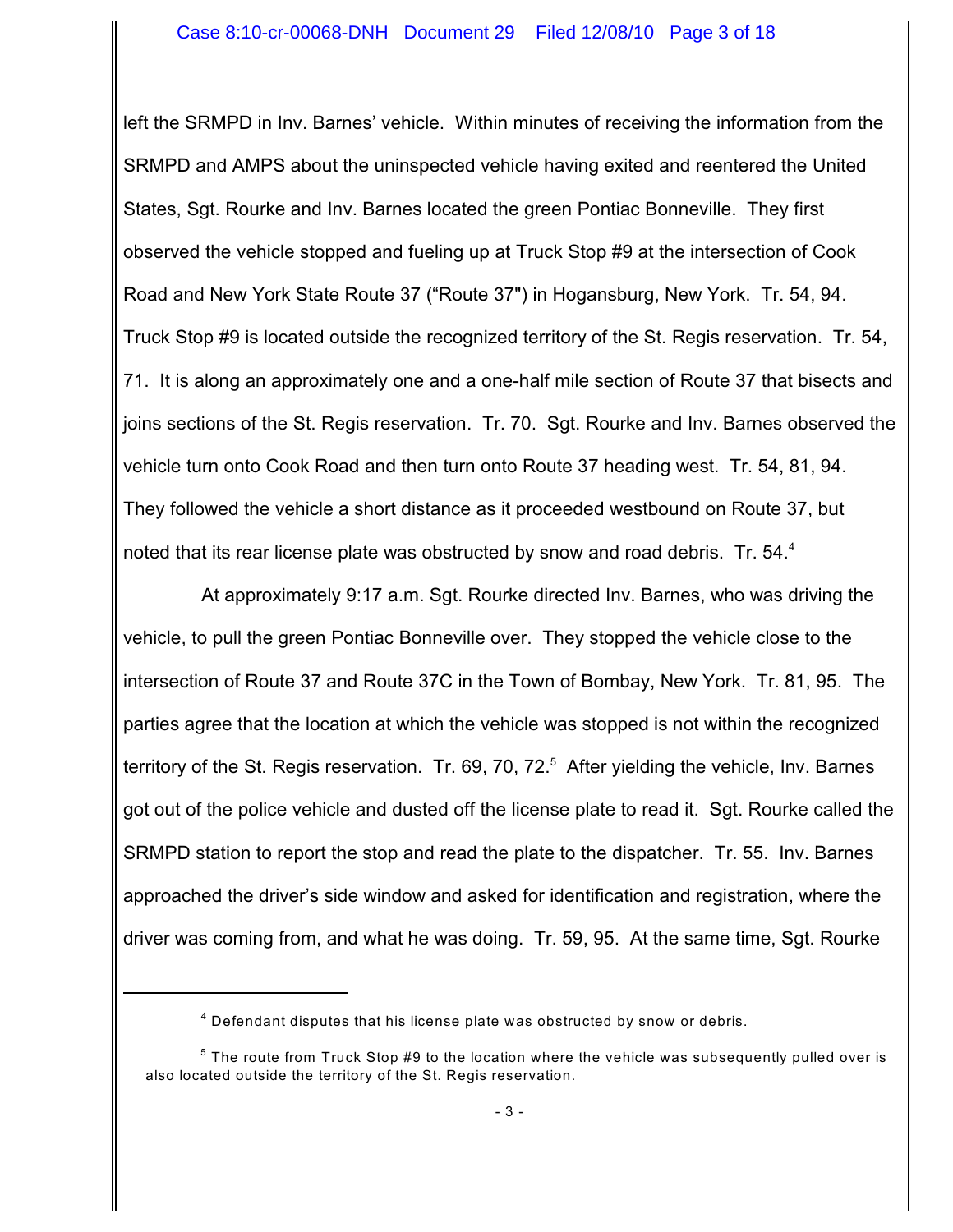left the SRMPD in Inv. Barnes' vehicle. Within minutes of receiving the information from the SRMPD and AMPS about the uninspected vehicle having exited and reentered the United States, Sgt. Rourke and Inv. Barnes located the green Pontiac Bonneville. They first observed the vehicle stopped and fueling up at Truck Stop #9 at the intersection of Cook Road and New York State Route 37 ("Route 37") in Hogansburg, New York. Tr. 54, 94. Truck Stop #9 is located outside the recognized territory of the St. Regis reservation. Tr. 54, 71. It is along an approximately one and a one-half mile section of Route 37 that bisects and joins sections of the St. Regis reservation. Tr. 70. Sgt. Rourke and Inv. Barnes observed the vehicle turn onto Cook Road and then turn onto Route 37 heading west. Tr. 54, 81, 94. They followed the vehicle a short distance as it proceeded westbound on Route 37, but noted that its rear license plate was obstructed by snow and road debris. Tr. 54. $4$ 

At approximately 9:17 a.m. Sgt. Rourke directed Inv. Barnes, who was driving the vehicle, to pull the green Pontiac Bonneville over. They stopped the vehicle close to the intersection of Route 37 and Route 37C in the Town of Bombay, New York. Tr. 81, 95. The parties agree that the location at which the vehicle was stopped is not within the recognized territory of the St. Regis reservation. Tr. 69, 70, 72. $5$  After yielding the vehicle, Inv. Barnes got out of the police vehicle and dusted off the license plate to read it. Sgt. Rourke called the SRMPD station to report the stop and read the plate to the dispatcher. Tr. 55. Inv. Barnes approached the driver's side window and asked for identification and registration, where the driver was coming from, and what he was doing. Tr. 59, 95. At the same time, Sgt. Rourke

 $^4$  Defendant disputes that his license plate was obstructed by snow or debris.

 $^5$  The route from Truck Stop #9 to the location where the vehicle was subsequently pulled over is also located outside the territory of the St. Regis reservation.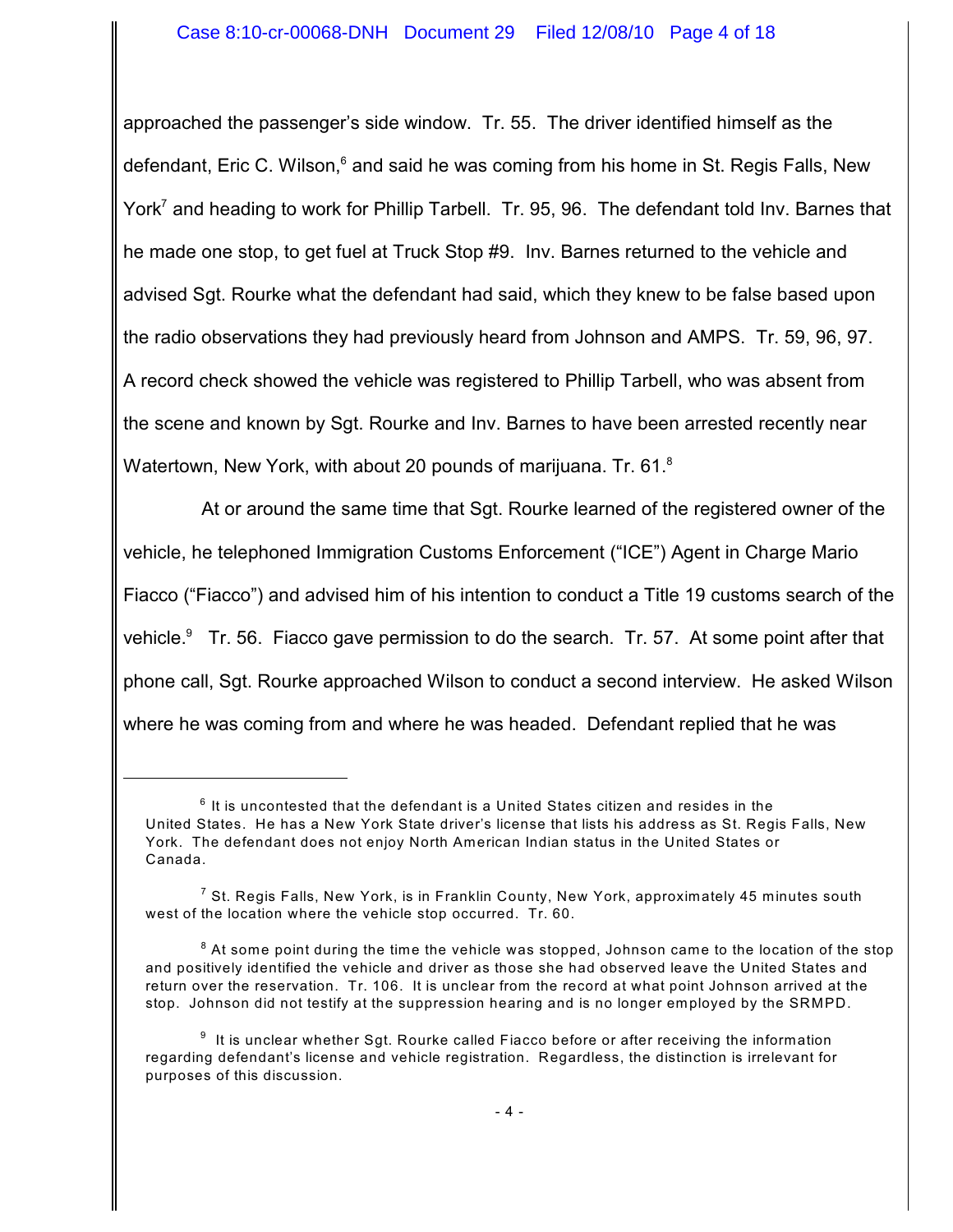approached the passenger's side window. Tr. 55. The driver identified himself as the defendant, Eric C. Wilson, $<sup>6</sup>$  and said he was coming from his home in St. Regis Falls, New</sup> York<sup>7</sup> and heading to work for Phillip Tarbell. Tr. 95, 96. The defendant told Inv. Barnes that he made one stop, to get fuel at Truck Stop #9. Inv. Barnes returned to the vehicle and advised Sgt. Rourke what the defendant had said, which they knew to be false based upon the radio observations they had previously heard from Johnson and AMPS. Tr. 59, 96, 97. A record check showed the vehicle was registered to Phillip Tarbell, who was absent from the scene and known by Sgt. Rourke and Inv. Barnes to have been arrested recently near Watertown, New York, with about 20 pounds of marijuana. Tr. 61. $^8$ 

At or around the same time that Sgt. Rourke learned of the registered owner of the vehicle, he telephoned Immigration Customs Enforcement ("ICE") Agent in Charge Mario Fiacco ("Fiacco") and advised him of his intention to conduct a Title 19 customs search of the vehicle. $9$  Tr. 56. Fiacco gave permission to do the search. Tr. 57. At some point after that phone call, Sgt. Rourke approached Wilson to conduct a second interview. He asked Wilson where he was coming from and where he was headed. Defendant replied that he was

 $^6$  It is uncontested that the defendant is a United States citizen and resides in the United States. He has a New York State driver's license that lists his address as St. Regis Falls, New York. The defendant does not enjoy North American Indian status in the United States or Canada.

 $^7$  St. Regis Falls, New York, is in Franklin County, New York, approximately 45 minutes south west of the location where the vehicle stop occurred. Tr. 60.

 $^{\text{8}}$  At some point during the time the vehicle was stopped, Johnson came to the location of the stop and positively identified the vehicle and driver as those she had observed leave the United States and return over the reservation. Tr. 106. It is unclear from the record at what point Johnson arrived at the stop. Johnson did not testify at the suppression hearing and is no longer employed by the SRMPD.

 $^9$  It is unclear whether Sgt. Rourke called Fiacco before or after receiving the information regarding defendant's license and vehicle registration. Regardless, the distinction is irrelevant for purposes of this discussion.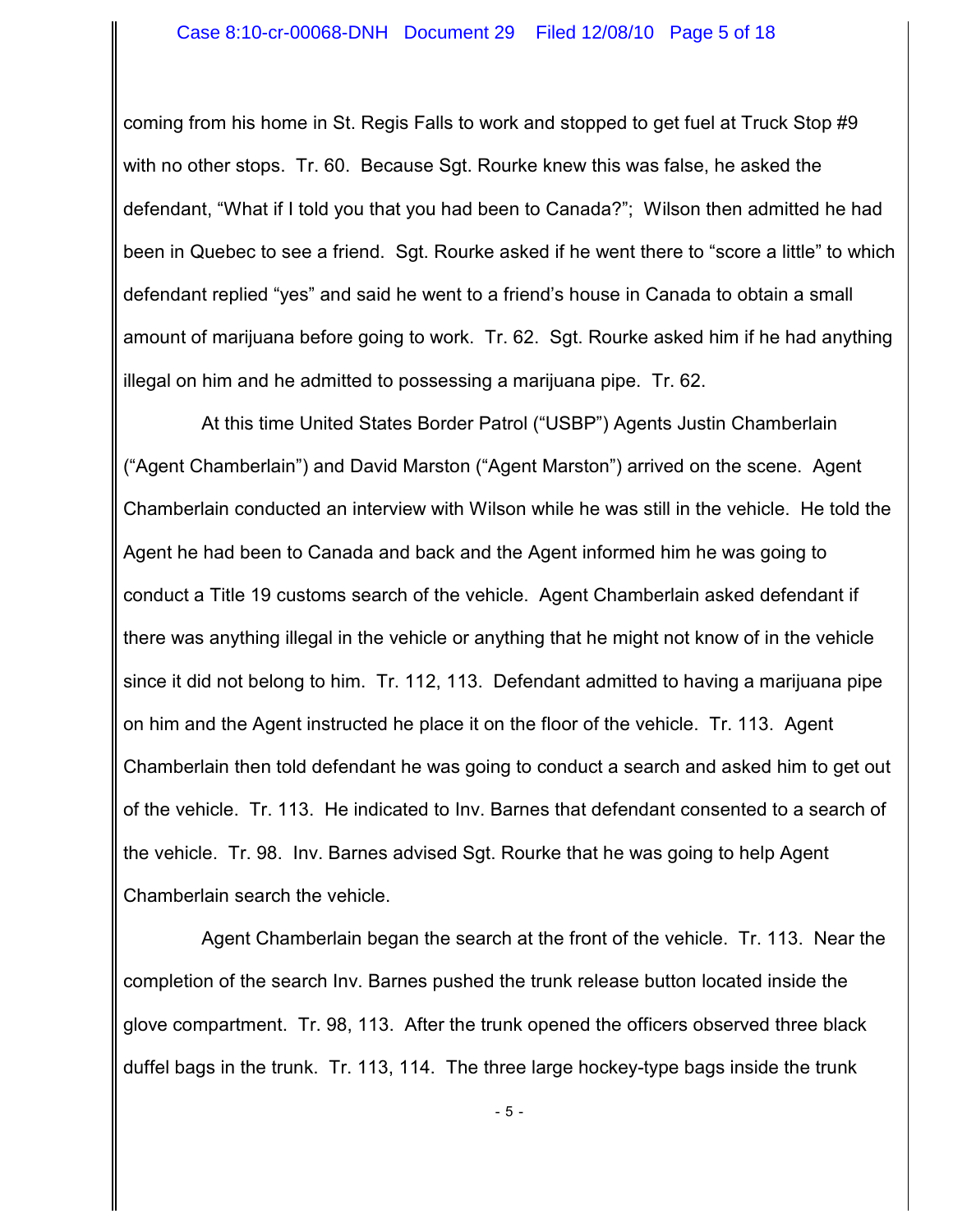coming from his home in St. Regis Falls to work and stopped to get fuel at Truck Stop #9 with no other stops. Tr. 60. Because Sgt. Rourke knew this was false, he asked the defendant, "What if I told you that you had been to Canada?"; Wilson then admitted he had been in Quebec to see a friend. Sgt. Rourke asked if he went there to "score a little" to which defendant replied "yes" and said he went to a friend's house in Canada to obtain a small amount of marijuana before going to work. Tr. 62. Sgt. Rourke asked him if he had anything illegal on him and he admitted to possessing a marijuana pipe. Tr. 62.

At this time United States Border Patrol ("USBP") Agents Justin Chamberlain ("Agent Chamberlain") and David Marston ("Agent Marston") arrived on the scene. Agent Chamberlain conducted an interview with Wilson while he was still in the vehicle. He told the Agent he had been to Canada and back and the Agent informed him he was going to conduct a Title 19 customs search of the vehicle. Agent Chamberlain asked defendant if there was anything illegal in the vehicle or anything that he might not know of in the vehicle since it did not belong to him. Tr. 112, 113. Defendant admitted to having a marijuana pipe on him and the Agent instructed he place it on the floor of the vehicle. Tr. 113. Agent Chamberlain then told defendant he was going to conduct a search and asked him to get out of the vehicle. Tr. 113. He indicated to Inv. Barnes that defendant consented to a search of the vehicle. Tr. 98. Inv. Barnes advised Sgt. Rourke that he was going to help Agent Chamberlain search the vehicle.

Agent Chamberlain began the search at the front of the vehicle. Tr. 113. Near the completion of the search Inv. Barnes pushed the trunk release button located inside the glove compartment. Tr. 98, 113. After the trunk opened the officers observed three black duffel bags in the trunk. Tr. 113, 114. The three large hockey-type bags inside the trunk

- 5 -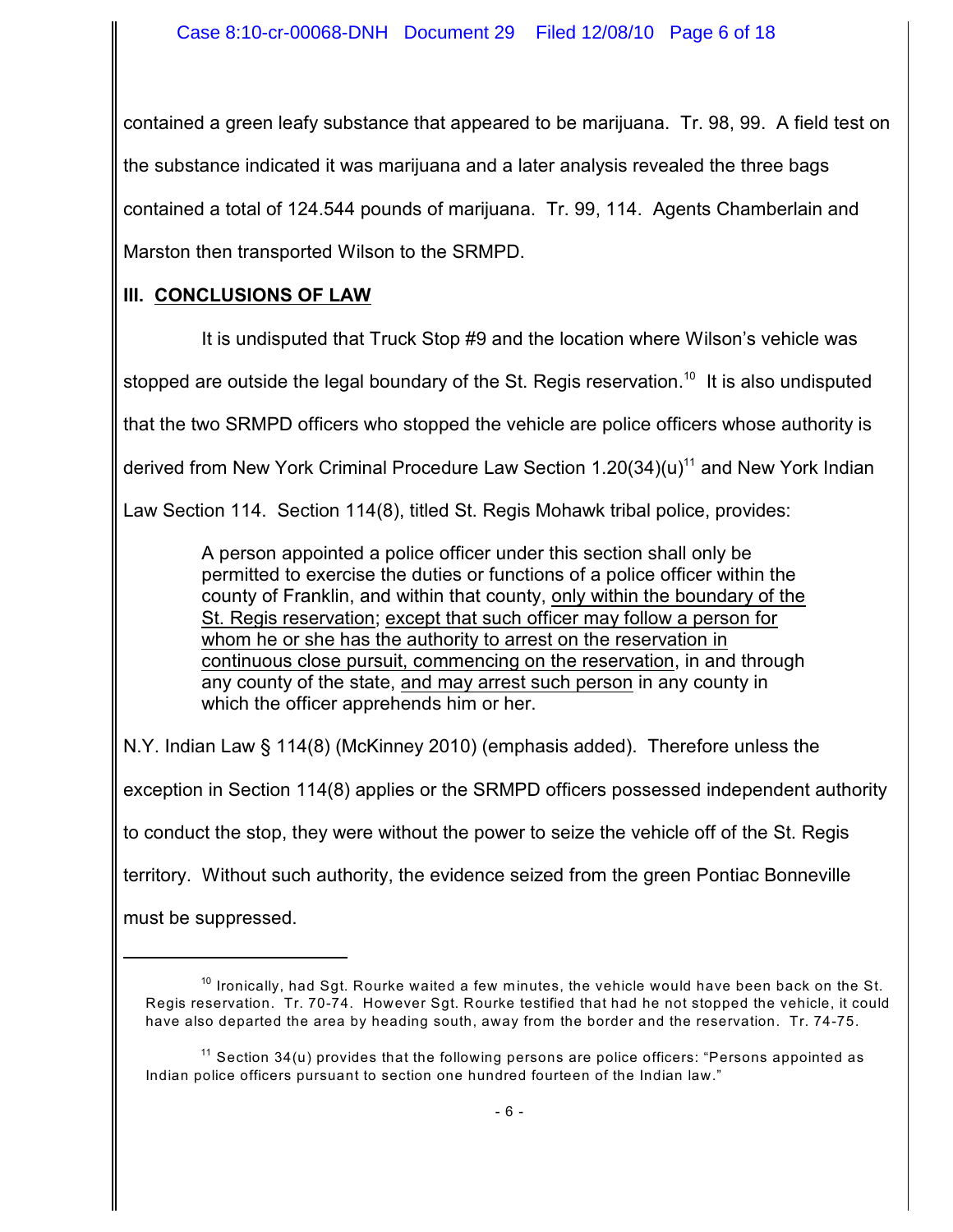contained a green leafy substance that appeared to be marijuana. Tr. 98, 99. A field test on the substance indicated it was marijuana and a later analysis revealed the three bags contained a total of 124.544 pounds of marijuana. Tr. 99, 114. Agents Chamberlain and Marston then transported Wilson to the SRMPD.

## **III. CONCLUSIONS OF LAW**

It is undisputed that Truck Stop #9 and the location where Wilson's vehicle was

stopped are outside the legal boundary of the St. Regis reservation.<sup>10</sup> It is also undisputed

that the two SRMPD officers who stopped the vehicle are police officers whose authority is

derived from New York Criminal Procedure Law Section  $1.20(34)(u)^{11}$  and New York Indian

Law Section 114. Section 114(8), titled St. Regis Mohawk tribal police, provides:

A person appointed a police officer under this section shall only be permitted to exercise the duties or functions of a police officer within the county of Franklin, and within that county, only within the boundary of the St. Regis reservation; except that such officer may follow a person for whom he or she has the authority to arrest on the reservation in continuous close pursuit, commencing on the reservation, in and through any county of the state, and may arrest such person in any county in which the officer apprehends him or her.

N.Y. Indian Law § 114(8) (McKinney 2010) (emphasis added). Therefore unless the exception in Section 114(8) applies or the SRMPD officers possessed independent authority to conduct the stop, they were without the power to seize the vehicle off of the St. Regis territory. Without such authority, the evidence seized from the green Pontiac Bonneville must be suppressed.

 $^{10}$  Ironically, had Sgt. Rourke waited a few minutes, the vehicle would have been back on the St. Regis reservation. Tr. 70-74. However Sgt. Rourke testified that had he not stopped the vehicle, it could have also departed the area by heading south, away from the border and the reservation. Tr. 74-75.

 $^{11}$  Section 34(u) provides that the following persons are police officers: "Persons appointed as Indian police officers pursuant to section one hundred fourteen of the Indian law."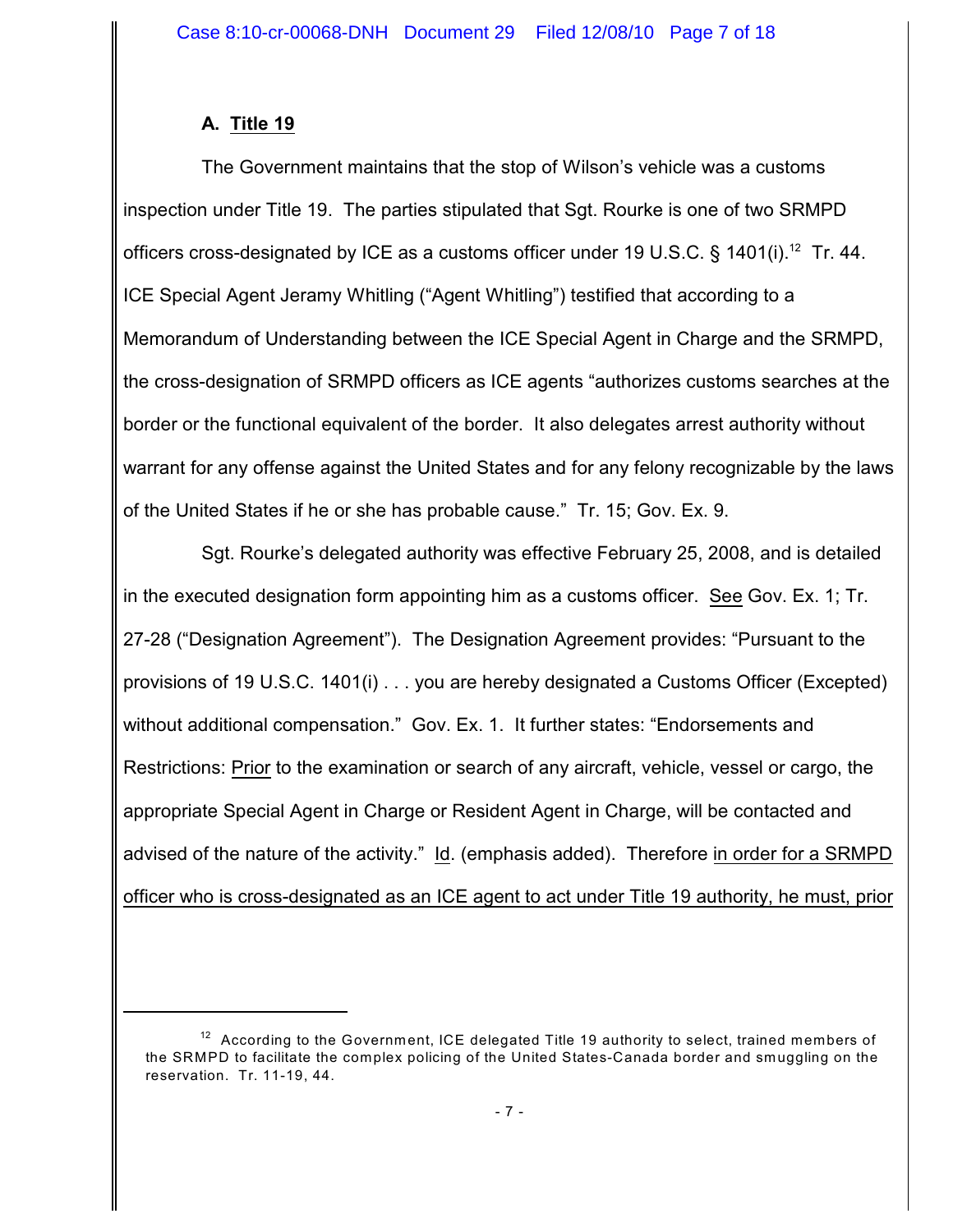# **A. Title 19**

The Government maintains that the stop of Wilson's vehicle was a customs inspection under Title 19. The parties stipulated that Sgt. Rourke is one of two SRMPD officers cross-designated by ICE as a customs officer under 19 U.S.C. § 1401(i).<sup>12</sup> Tr. 44. ICE Special Agent Jeramy Whitling ("Agent Whitling") testified that according to a Memorandum of Understanding between the ICE Special Agent in Charge and the SRMPD, the cross-designation of SRMPD officers as ICE agents "authorizes customs searches at the border or the functional equivalent of the border. It also delegates arrest authority without warrant for any offense against the United States and for any felony recognizable by the laws of the United States if he or she has probable cause." Tr. 15; Gov. Ex. 9.

Sgt. Rourke's delegated authority was effective February 25, 2008, and is detailed in the executed designation form appointing him as a customs officer. See Gov. Ex. 1; Tr. 27-28 ("Designation Agreement"). The Designation Agreement provides: "Pursuant to the provisions of 19 U.S.C. 1401(i) . . . you are hereby designated a Customs Officer (Excepted) without additional compensation." Gov. Ex. 1. It further states: "Endorsements and Restrictions: Prior to the examination or search of any aircraft, vehicle, vessel or cargo, the appropriate Special Agent in Charge or Resident Agent in Charge, will be contacted and advised of the nature of the activity." Id. (emphasis added). Therefore in order for a SRMPD officer who is cross-designated as an ICE agent to act under Title 19 authority, he must, prior

 $12$  According to the Government, ICE delegated Title 19 authority to select, trained members of the SRMPD to facilitate the complex policing of the United States-Canada border and smuggling on the reservation. Tr. 11-19, 44.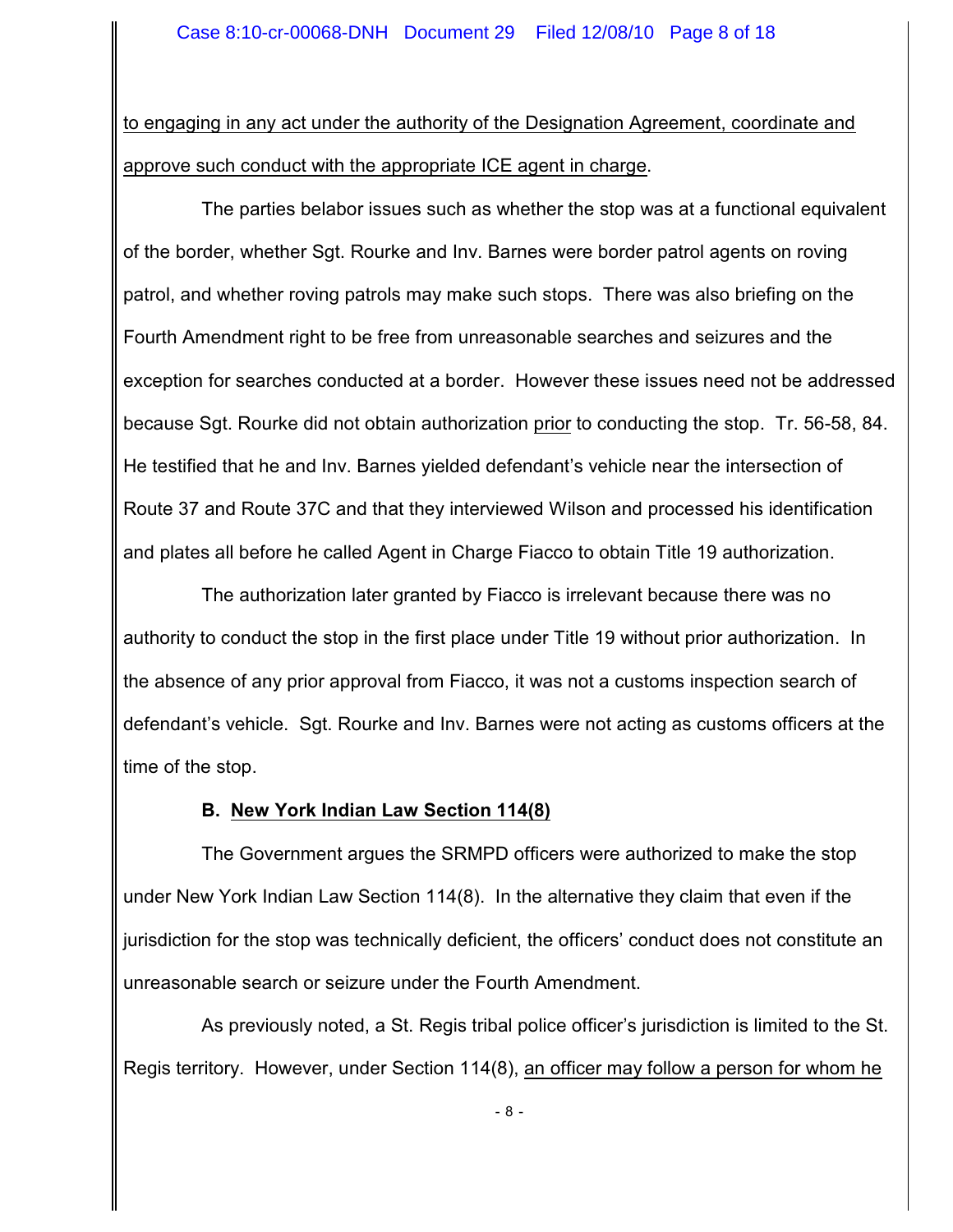to engaging in any act under the authority of the Designation Agreement, coordinate and approve such conduct with the appropriate ICE agent in charge.

The parties belabor issues such as whether the stop was at a functional equivalent of the border, whether Sgt. Rourke and Inv. Barnes were border patrol agents on roving patrol, and whether roving patrols may make such stops. There was also briefing on the Fourth Amendment right to be free from unreasonable searches and seizures and the exception for searches conducted at a border. However these issues need not be addressed because Sgt. Rourke did not obtain authorization prior to conducting the stop. Tr. 56-58, 84. He testified that he and Inv. Barnes yielded defendant's vehicle near the intersection of Route 37 and Route 37C and that they interviewed Wilson and processed his identification and plates all before he called Agent in Charge Fiacco to obtain Title 19 authorization.

The authorization later granted by Fiacco is irrelevant because there was no authority to conduct the stop in the first place under Title 19 without prior authorization. In the absence of any prior approval from Fiacco, it was not a customs inspection search of defendant's vehicle. Sgt. Rourke and Inv. Barnes were not acting as customs officers at the time of the stop.

### **B. New York Indian Law Section 114(8)**

The Government argues the SRMPD officers were authorized to make the stop under New York Indian Law Section 114(8). In the alternative they claim that even if the jurisdiction for the stop was technically deficient, the officers' conduct does not constitute an unreasonable search or seizure under the Fourth Amendment.

As previously noted, a St. Regis tribal police officer's jurisdiction is limited to the St. Regis territory. However, under Section 114(8), an officer may follow a person for whom he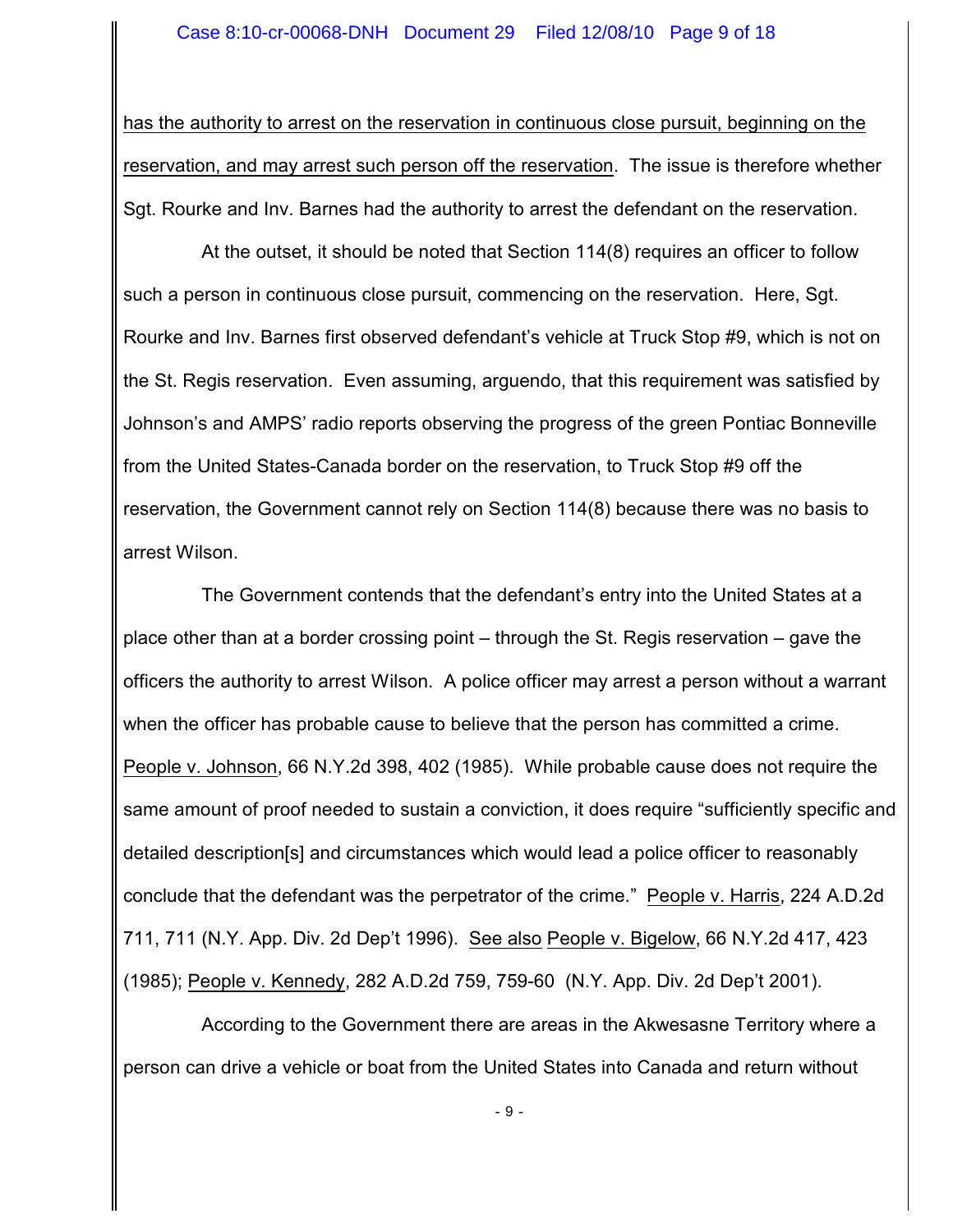has the authority to arrest on the reservation in continuous close pursuit, beginning on the reservation, and may arrest such person off the reservation. The issue is therefore whether Sgt. Rourke and Inv. Barnes had the authority to arrest the defendant on the reservation.

At the outset, it should be noted that Section 114(8) requires an officer to follow such a person in continuous close pursuit, commencing on the reservation. Here, Sgt. Rourke and Inv. Barnes first observed defendant's vehicle at Truck Stop #9, which is not on the St. Regis reservation. Even assuming, arguendo, that this requirement was satisfied by Johnson's and AMPS' radio reports observing the progress of the green Pontiac Bonneville from the United States-Canada border on the reservation, to Truck Stop #9 off the reservation, the Government cannot rely on Section 114(8) because there was no basis to arrest Wilson.

The Government contends that the defendant's entry into the United States at a place other than at a border crossing point – through the St. Regis reservation – gave the officers the authority to arrest Wilson. A police officer may arrest a person without a warrant when the officer has probable cause to believe that the person has committed a crime. People v. Johnson, 66 N.Y.2d 398, 402 (1985). While probable cause does not require the same amount of proof needed to sustain a conviction, it does require "sufficiently specific and detailed description[s] and circumstances which would lead a police officer to reasonably conclude that the defendant was the perpetrator of the crime." People v. Harris, 224 A.D.2d 711, 711 (N.Y. App. Div. 2d Dep't 1996). See also People v. Bigelow, 66 N.Y.2d 417, 423 (1985); People v. Kennedy, 282 A.D.2d 759, 759-60 (N.Y. App. Div. 2d Dep't 2001).

According to the Government there are areas in the Akwesasne Territory where a person can drive a vehicle or boat from the United States into Canada and return without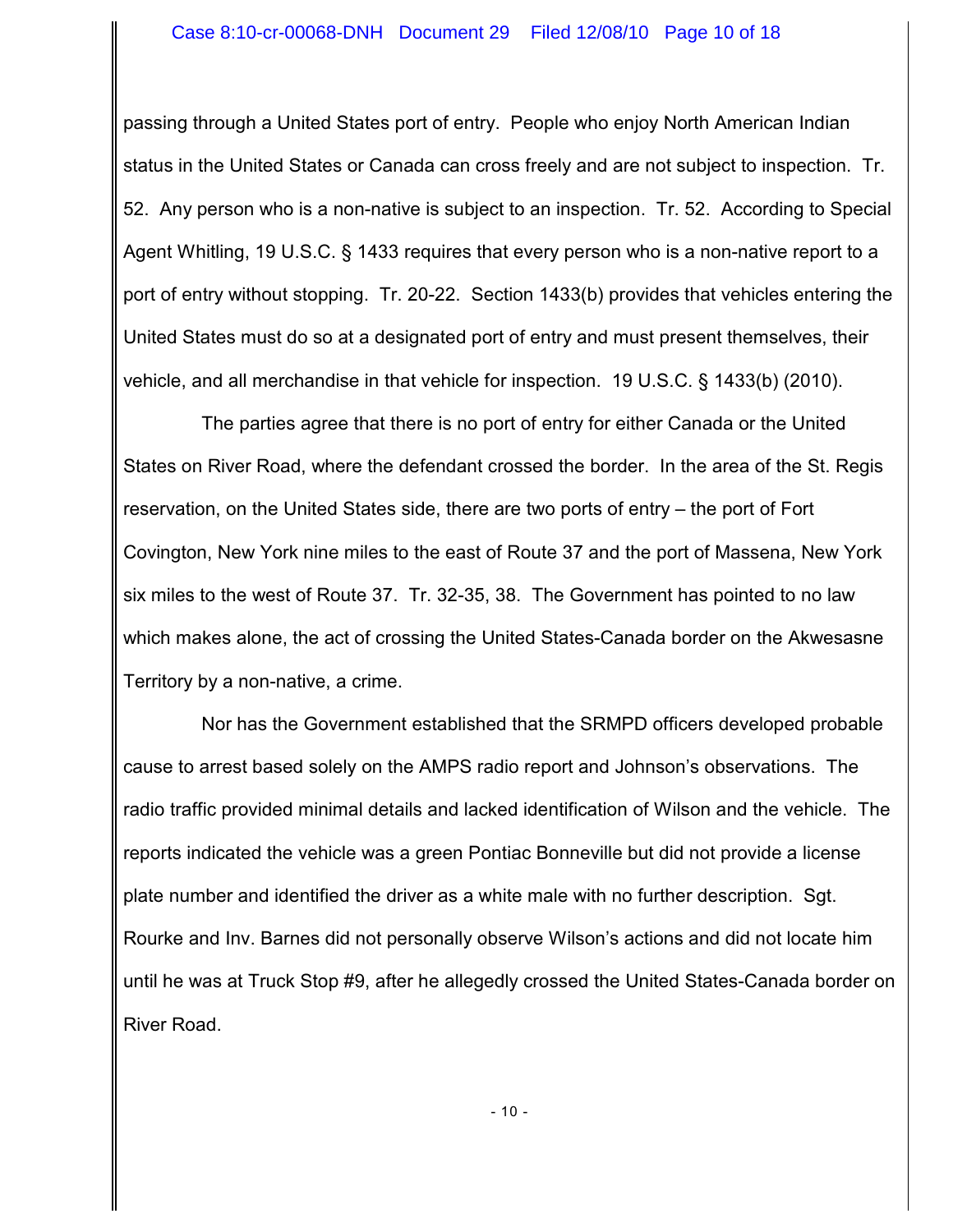passing through a United States port of entry. People who enjoy North American Indian status in the United States or Canada can cross freely and are not subject to inspection. Tr. 52. Any person who is a non-native is subject to an inspection. Tr. 52. According to Special Agent Whitling, 19 U.S.C. § 1433 requires that every person who is a non-native report to a port of entry without stopping. Tr. 20-22. Section 1433(b) provides that vehicles entering the United States must do so at a designated port of entry and must present themselves, their vehicle, and all merchandise in that vehicle for inspection. 19 U.S.C. § 1433(b) (2010).

The parties agree that there is no port of entry for either Canada or the United States on River Road, where the defendant crossed the border. In the area of the St. Regis reservation, on the United States side, there are two ports of entry – the port of Fort Covington, New York nine miles to the east of Route 37 and the port of Massena, New York six miles to the west of Route 37. Tr. 32-35, 38. The Government has pointed to no law which makes alone, the act of crossing the United States-Canada border on the Akwesasne Territory by a non-native, a crime.

Nor has the Government established that the SRMPD officers developed probable cause to arrest based solely on the AMPS radio report and Johnson's observations. The radio traffic provided minimal details and lacked identification of Wilson and the vehicle. The reports indicated the vehicle was a green Pontiac Bonneville but did not provide a license plate number and identified the driver as a white male with no further description. Sgt. Rourke and Inv. Barnes did not personally observe Wilson's actions and did not locate him until he was at Truck Stop #9, after he allegedly crossed the United States-Canada border on River Road.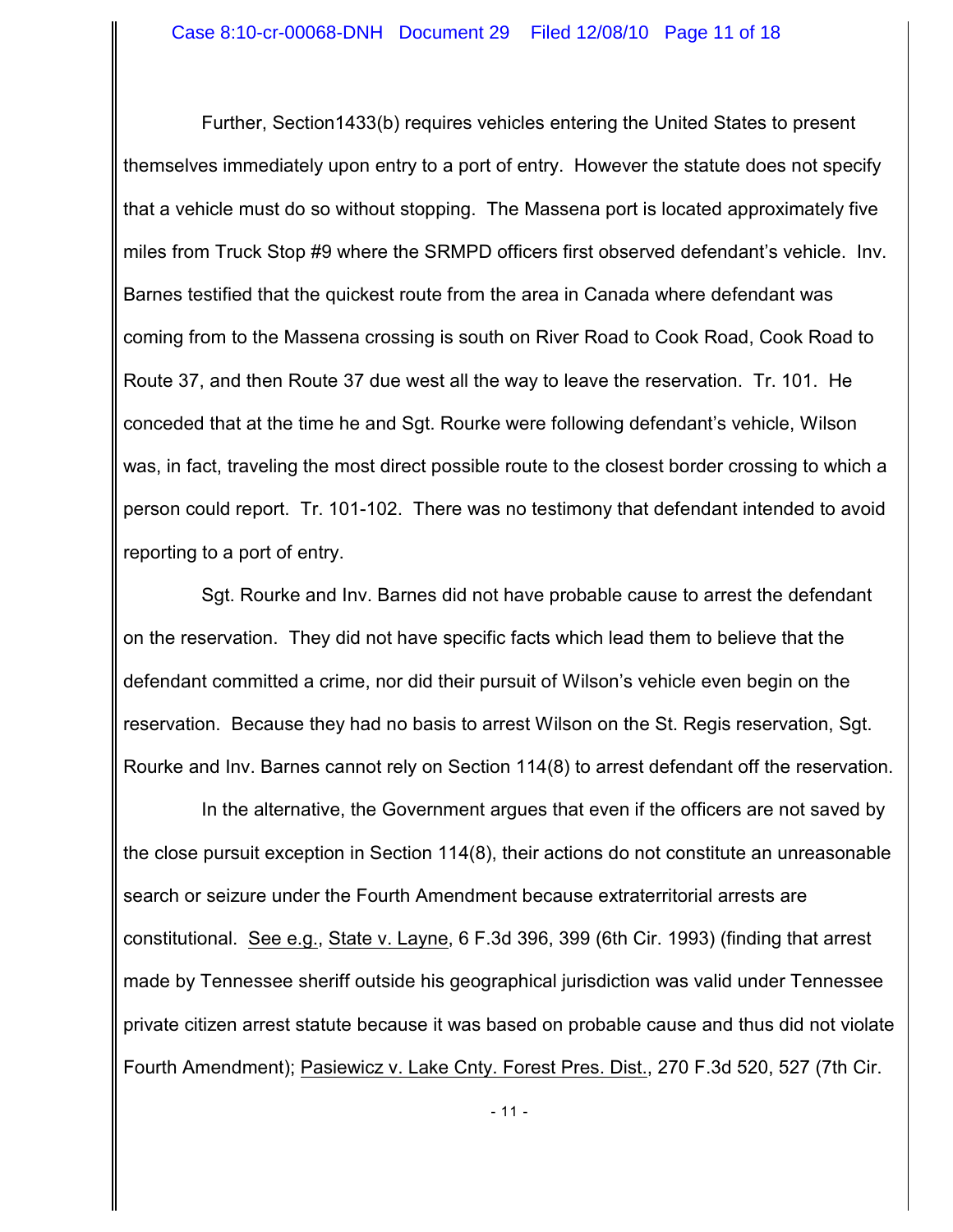Further, Section1433(b) requires vehicles entering the United States to present themselves immediately upon entry to a port of entry. However the statute does not specify that a vehicle must do so without stopping. The Massena port is located approximately five miles from Truck Stop #9 where the SRMPD officers first observed defendant's vehicle. Inv. Barnes testified that the quickest route from the area in Canada where defendant was coming from to the Massena crossing is south on River Road to Cook Road, Cook Road to Route 37, and then Route 37 due west all the way to leave the reservation. Tr. 101. He conceded that at the time he and Sgt. Rourke were following defendant's vehicle, Wilson was, in fact, traveling the most direct possible route to the closest border crossing to which a person could report. Tr. 101-102. There was no testimony that defendant intended to avoid reporting to a port of entry.

Sgt. Rourke and Inv. Barnes did not have probable cause to arrest the defendant on the reservation. They did not have specific facts which lead them to believe that the defendant committed a crime, nor did their pursuit of Wilson's vehicle even begin on the reservation. Because they had no basis to arrest Wilson on the St. Regis reservation, Sgt. Rourke and Inv. Barnes cannot rely on Section 114(8) to arrest defendant off the reservation.

In the alternative, the Government argues that even if the officers are not saved by the close pursuit exception in Section 114(8), their actions do not constitute an unreasonable search or seizure under the Fourth Amendment because extraterritorial arrests are constitutional. See e.g., State v. Layne, 6 F.3d 396, 399 (6th Cir. 1993) (finding that arrest made by Tennessee sheriff outside his geographical jurisdiction was valid under Tennessee private citizen arrest statute because it was based on probable cause and thus did not violate Fourth Amendment); Pasiewicz v. Lake Cnty. Forest Pres. Dist., 270 F.3d 520, 527 (7th Cir.

- 11 -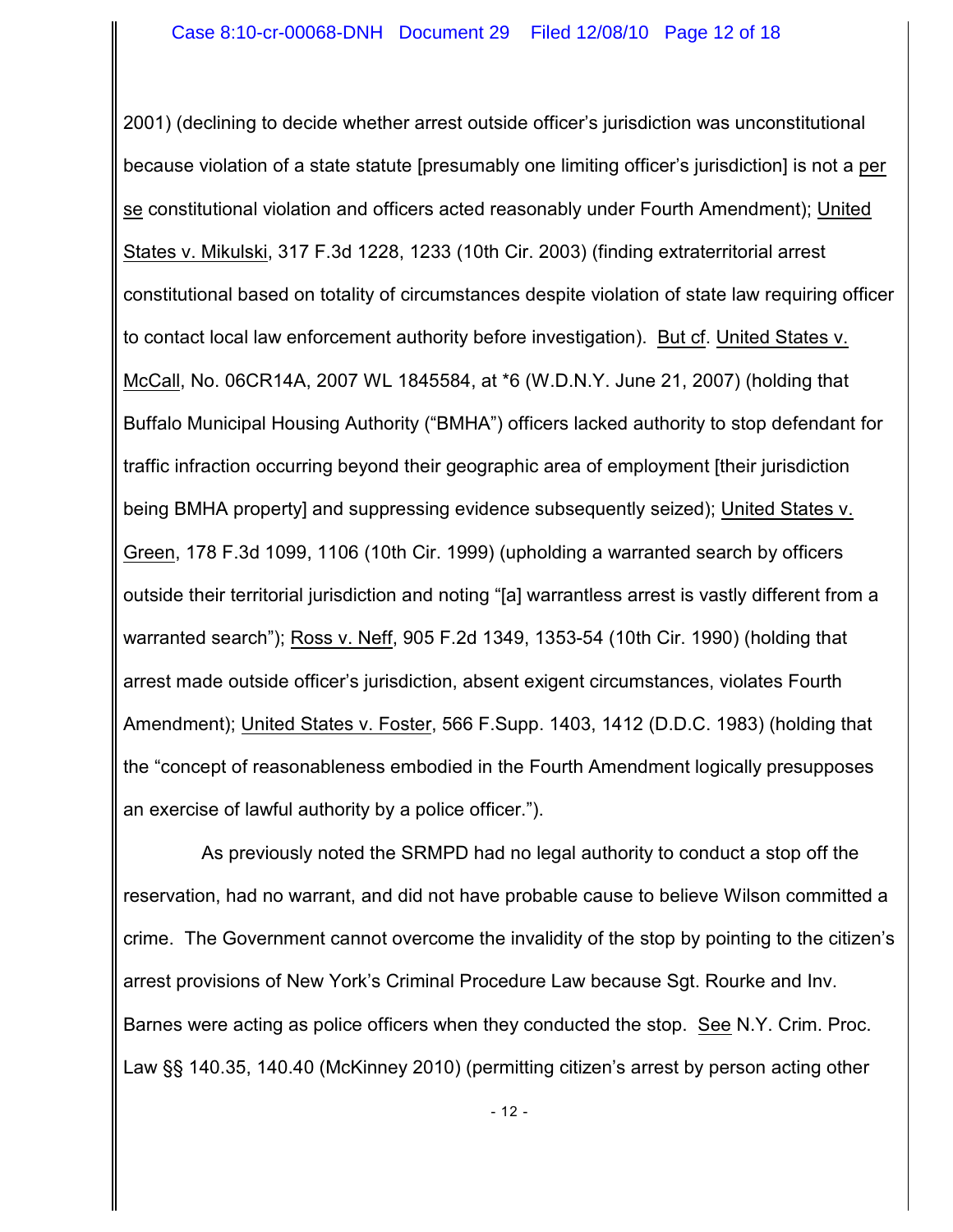2001) (declining to decide whether arrest outside officer's jurisdiction was unconstitutional because violation of a state statute [presumably one limiting officer's jurisdiction] is not a per se constitutional violation and officers acted reasonably under Fourth Amendment); United States v. Mikulski, 317 F.3d 1228, 1233 (10th Cir. 2003) (finding extraterritorial arrest constitutional based on totality of circumstances despite violation of state law requiring officer to contact local law enforcement authority before investigation). But cf. United States v. McCall, No. 06CR14A, 2007 WL 1845584, at \*6 (W.D.N.Y. June 21, 2007) (holding that Buffalo Municipal Housing Authority ("BMHA") officers lacked authority to stop defendant for traffic infraction occurring beyond their geographic area of employment [their jurisdiction being BMHA property] and suppressing evidence subsequently seized); United States v. Green, 178 F.3d 1099, 1106 (10th Cir. 1999) (upholding a warranted search by officers outside their territorial jurisdiction and noting "[a] warrantless arrest is vastly different from a warranted search"); Ross v. Neff, 905 F.2d 1349, 1353-54 (10th Cir. 1990) (holding that arrest made outside officer's jurisdiction, absent exigent circumstances, violates Fourth Amendment); United States v. Foster, 566 F.Supp. 1403, 1412 (D.D.C. 1983) (holding that the "concept of reasonableness embodied in the Fourth Amendment logically presupposes an exercise of lawful authority by a police officer.").

As previously noted the SRMPD had no legal authority to conduct a stop off the reservation, had no warrant, and did not have probable cause to believe Wilson committed a crime. The Government cannot overcome the invalidity of the stop by pointing to the citizen's arrest provisions of New York's Criminal Procedure Law because Sgt. Rourke and Inv. Barnes were acting as police officers when they conducted the stop. See N.Y. Crim. Proc. Law §§ 140.35, 140.40 (McKinney 2010) (permitting citizen's arrest by person acting other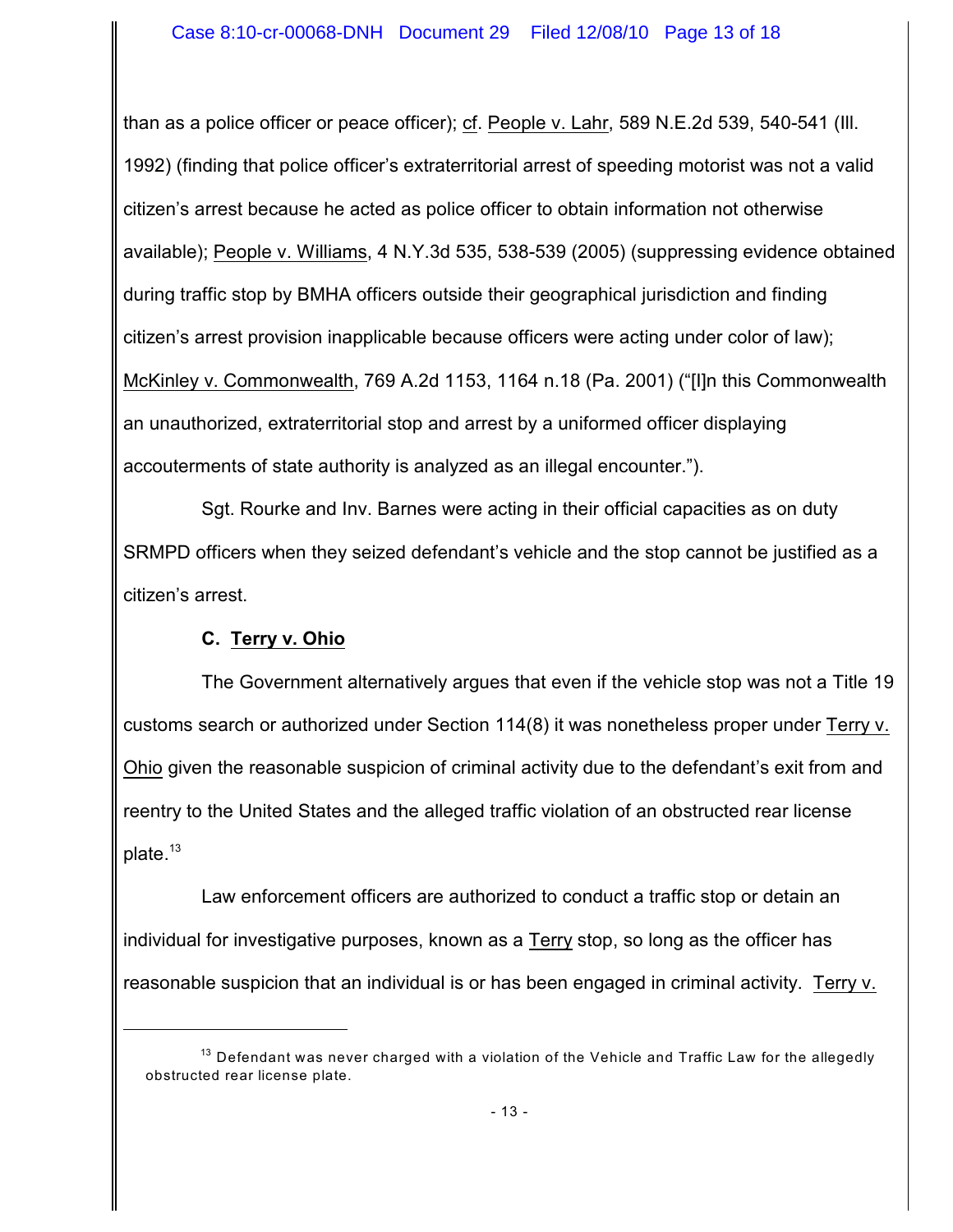than as a police officer or peace officer); cf. People v. Lahr, 589 N.E.2d 539, 540-541 (Ill. 1992) (finding that police officer's extraterritorial arrest of speeding motorist was not a valid citizen's arrest because he acted as police officer to obtain information not otherwise available); People v. Williams, 4 N.Y.3d 535, 538-539 (2005) (suppressing evidence obtained during traffic stop by BMHA officers outside their geographical jurisdiction and finding citizen's arrest provision inapplicable because officers were acting under color of law); McKinley v. Commonwealth, 769 A.2d 1153, 1164 n.18 (Pa. 2001) ("[I]n this Commonwealth an unauthorized, extraterritorial stop and arrest by a uniformed officer displaying accouterments of state authority is analyzed as an illegal encounter.").

Sgt. Rourke and Inv. Barnes were acting in their official capacities as on duty SRMPD officers when they seized defendant's vehicle and the stop cannot be justified as a citizen's arrest.

# **C. Terry v. Ohio**

The Government alternatively argues that even if the vehicle stop was not a Title 19 customs search or authorized under Section 114(8) it was nonetheless proper under Terry v. Ohio given the reasonable suspicion of criminal activity due to the defendant's exit from and reentry to the United States and the alleged traffic violation of an obstructed rear license plate.<sup>13</sup>

Law enforcement officers are authorized to conduct a traffic stop or detain an individual for investigative purposes, known as a Terry stop, so long as the officer has reasonable suspicion that an individual is or has been engaged in criminal activity. Terry v.

 $^{13}$  Defendant was never charged with a violation of the Vehicle and Traffic Law for the allegedly obstructed rear license plate.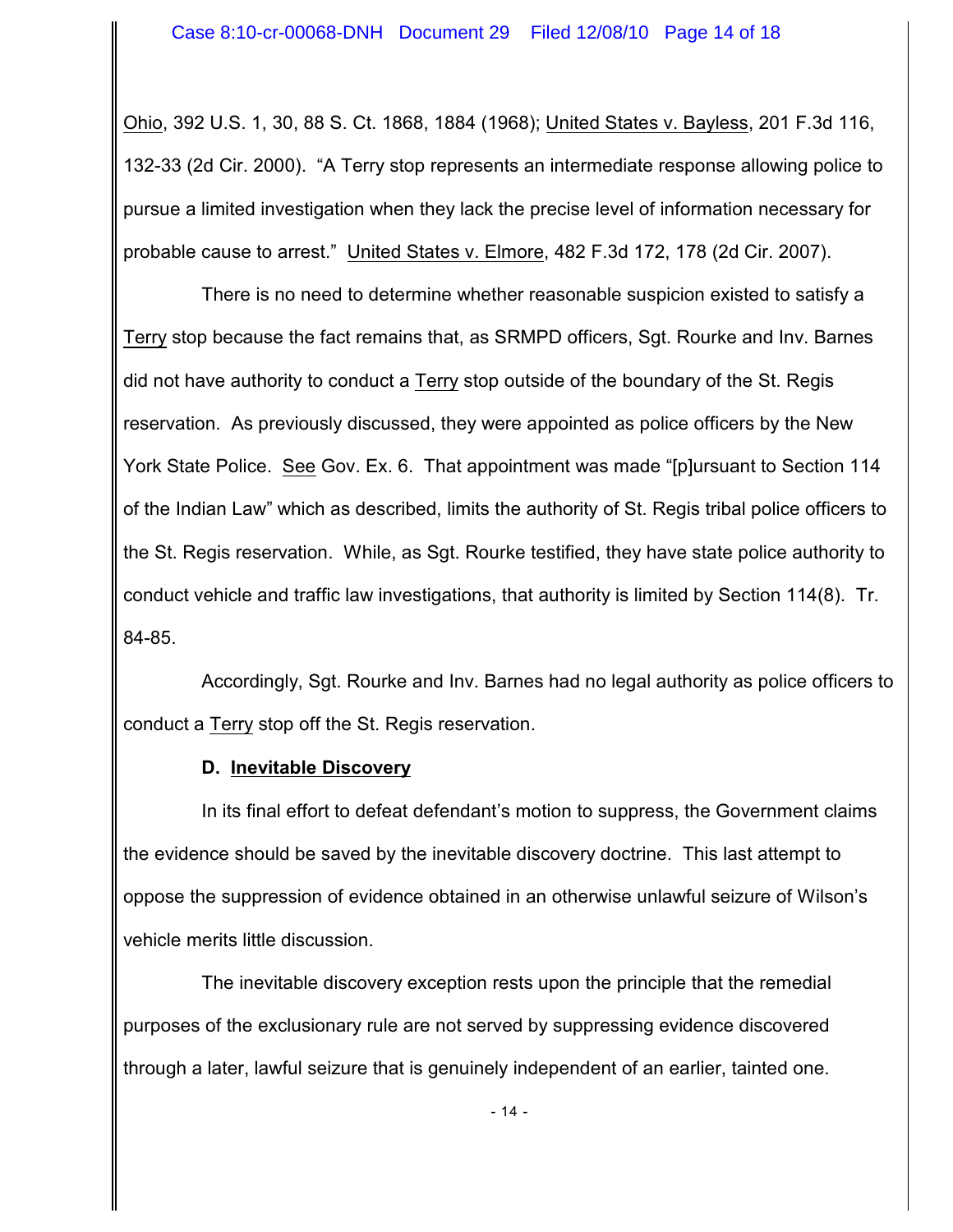Ohio, 392 U.S. 1, 30, 88 S. Ct. 1868, 1884 (1968); United States v. Bayless, 201 F.3d 116, 132-33 (2d Cir. 2000). "A Terry stop represents an intermediate response allowing police to pursue a limited investigation when they lack the precise level of information necessary for probable cause to arrest." United States v. Elmore, 482 F.3d 172, 178 (2d Cir. 2007).

There is no need to determine whether reasonable suspicion existed to satisfy a Terry stop because the fact remains that, as SRMPD officers, Sgt. Rourke and Inv. Barnes did not have authority to conduct a Terry stop outside of the boundary of the St. Regis reservation. As previously discussed, they were appointed as police officers by the New York State Police. See Gov. Ex. 6. That appointment was made "[p]ursuant to Section 114 of the Indian Law" which as described, limits the authority of St. Regis tribal police officers to the St. Regis reservation. While, as Sgt. Rourke testified, they have state police authority to conduct vehicle and traffic law investigations, that authority is limited by Section 114(8). Tr. 84-85.

Accordingly, Sgt. Rourke and Inv. Barnes had no legal authority as police officers to conduct a Terry stop off the St. Regis reservation.

### **D. Inevitable Discovery**

In its final effort to defeat defendant's motion to suppress, the Government claims the evidence should be saved by the inevitable discovery doctrine. This last attempt to oppose the suppression of evidence obtained in an otherwise unlawful seizure of Wilson's vehicle merits little discussion.

The inevitable discovery exception rests upon the principle that the remedial purposes of the exclusionary rule are not served by suppressing evidence discovered through a later, lawful seizure that is genuinely independent of an earlier, tainted one.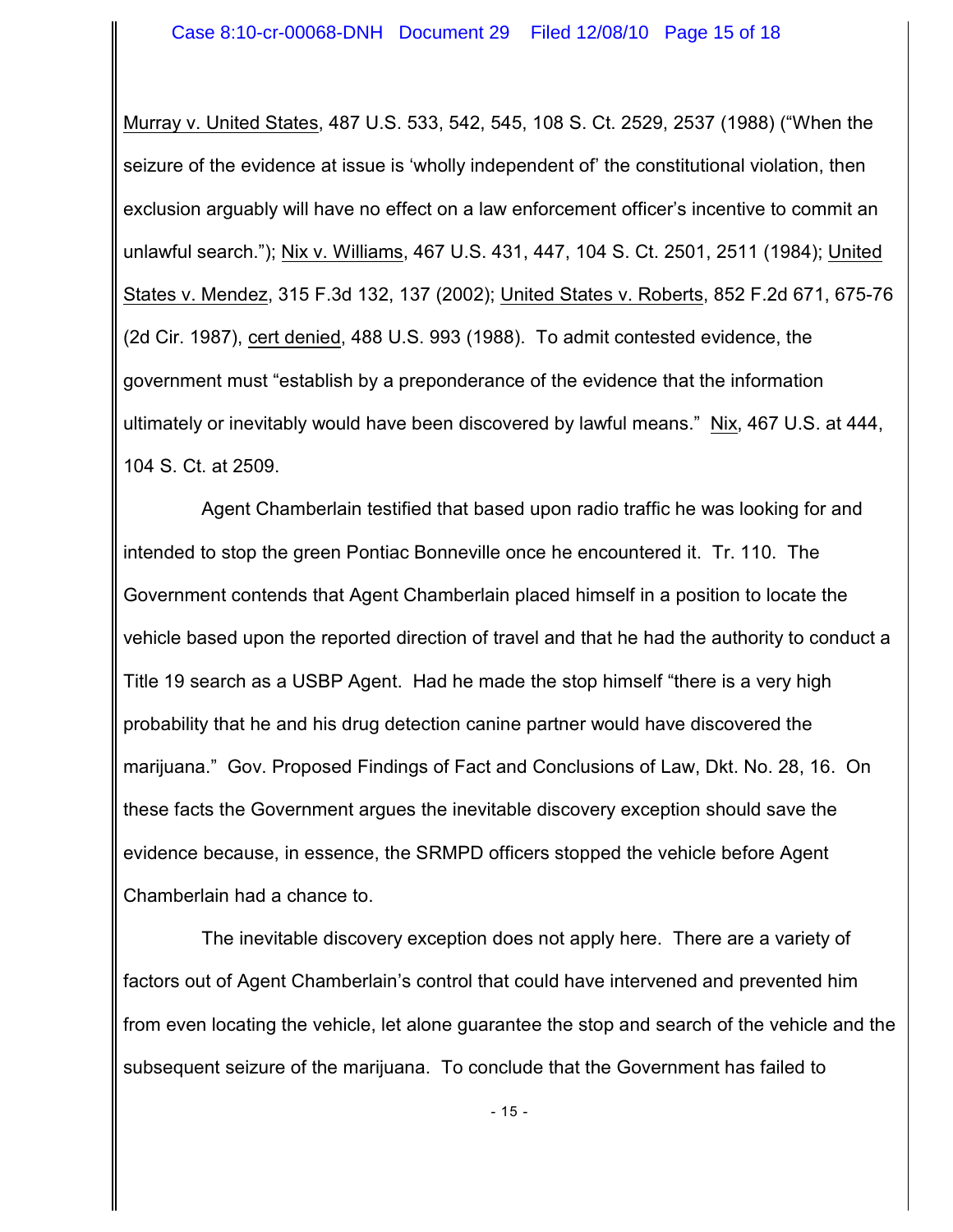Murray v. United States, 487 U.S. 533, 542, 545, 108 S. Ct. 2529, 2537 (1988) ("When the seizure of the evidence at issue is 'wholly independent of' the constitutional violation, then exclusion arguably will have no effect on a law enforcement officer's incentive to commit an unlawful search."); Nix v. Williams, 467 U.S. 431, 447, 104 S. Ct. 2501, 2511 (1984); United States v. Mendez, 315 F.3d 132, 137 (2002); United States v. Roberts, 852 F.2d 671, 675-76 (2d Cir. 1987), cert denied, 488 U.S. 993 (1988). To admit contested evidence, the government must "establish by a preponderance of the evidence that the information ultimately or inevitably would have been discovered by lawful means." Nix, 467 U.S. at 444, 104 S. Ct. at 2509.

Agent Chamberlain testified that based upon radio traffic he was looking for and intended to stop the green Pontiac Bonneville once he encountered it. Tr. 110. The Government contends that Agent Chamberlain placed himself in a position to locate the vehicle based upon the reported direction of travel and that he had the authority to conduct a Title 19 search as a USBP Agent. Had he made the stop himself "there is a very high probability that he and his drug detection canine partner would have discovered the marijuana." Gov. Proposed Findings of Fact and Conclusions of Law, Dkt. No. 28, 16. On these facts the Government argues the inevitable discovery exception should save the evidence because, in essence, the SRMPD officers stopped the vehicle before Agent Chamberlain had a chance to.

The inevitable discovery exception does not apply here. There are a variety of factors out of Agent Chamberlain's control that could have intervened and prevented him from even locating the vehicle, let alone guarantee the stop and search of the vehicle and the subsequent seizure of the marijuana. To conclude that the Government has failed to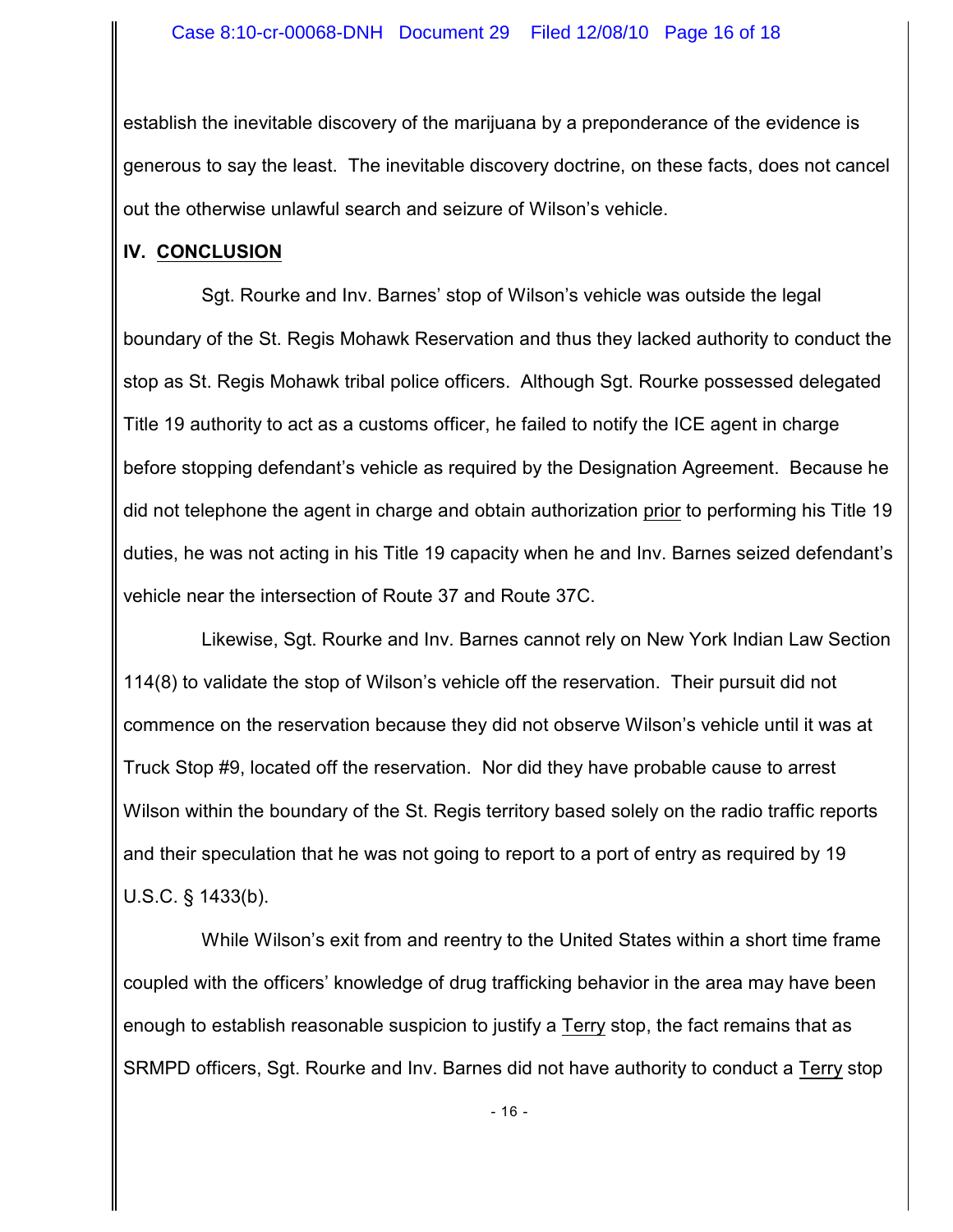establish the inevitable discovery of the marijuana by a preponderance of the evidence is generous to say the least. The inevitable discovery doctrine, on these facts, does not cancel out the otherwise unlawful search and seizure of Wilson's vehicle.

### **IV. CONCLUSION**

Sgt. Rourke and Inv. Barnes' stop of Wilson's vehicle was outside the legal boundary of the St. Regis Mohawk Reservation and thus they lacked authority to conduct the stop as St. Regis Mohawk tribal police officers. Although Sgt. Rourke possessed delegated Title 19 authority to act as a customs officer, he failed to notify the ICE agent in charge before stopping defendant's vehicle as required by the Designation Agreement. Because he did not telephone the agent in charge and obtain authorization prior to performing his Title 19 duties, he was not acting in his Title 19 capacity when he and Inv. Barnes seized defendant's vehicle near the intersection of Route 37 and Route 37C.

Likewise, Sgt. Rourke and Inv. Barnes cannot rely on New York Indian Law Section 114(8) to validate the stop of Wilson's vehicle off the reservation. Their pursuit did not commence on the reservation because they did not observe Wilson's vehicle until it was at Truck Stop #9, located off the reservation. Nor did they have probable cause to arrest Wilson within the boundary of the St. Regis territory based solely on the radio traffic reports and their speculation that he was not going to report to a port of entry as required by 19 U.S.C. § 1433(b).

While Wilson's exit from and reentry to the United States within a short time frame coupled with the officers' knowledge of drug trafficking behavior in the area may have been enough to establish reasonable suspicion to justify a Terry stop, the fact remains that as SRMPD officers, Sgt. Rourke and Inv. Barnes did not have authority to conduct a Terry stop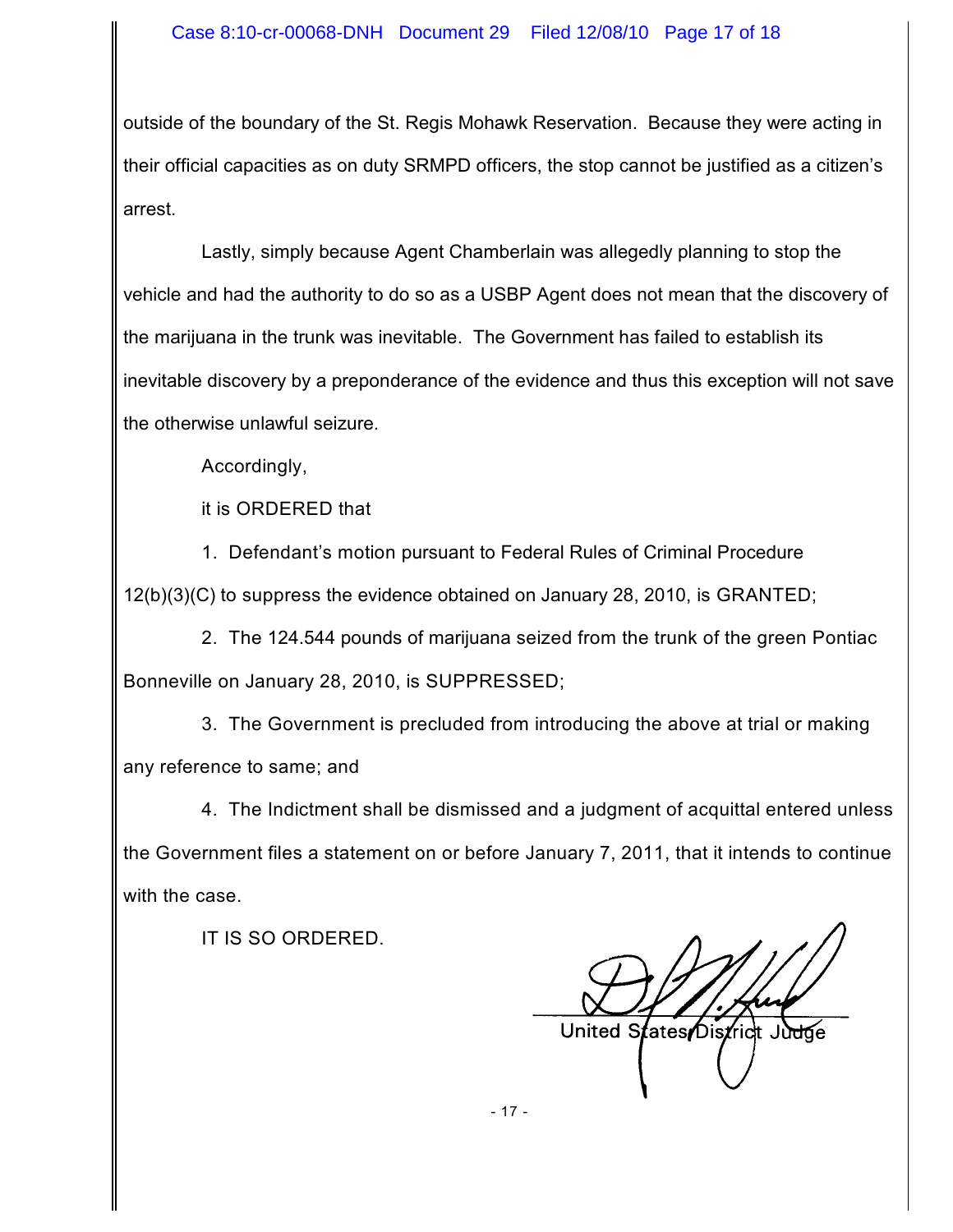outside of the boundary of the St. Regis Mohawk Reservation. Because they were acting in their official capacities as on duty SRMPD officers, the stop cannot be justified as a citizen's arrest.

Lastly, simply because Agent Chamberlain was allegedly planning to stop the vehicle and had the authority to do so as a USBP Agent does not mean that the discovery of the marijuana in the trunk was inevitable. The Government has failed to establish its inevitable discovery by a preponderance of the evidence and thus this exception will not save the otherwise unlawful seizure.

Accordingly,

it is ORDERED that

1. Defendant's motion pursuant to Federal Rules of Criminal Procedure 12(b)(3)(C) to suppress the evidence obtained on January 28, 2010, is GRANTED;

2. The 124.544 pounds of marijuana seized from the trunk of the green Pontiac Bonneville on January 28, 2010, is SUPPRESSED;

3. The Government is precluded from introducing the above at trial or making any reference to same; and

4. The Indictment shall be dismissed and a judgment of acquittal entered unless the Government files a statement on or before January 7, 2011, that it intends to continue with the case.

IT IS SO ORDERED.

United States District

- 17 -